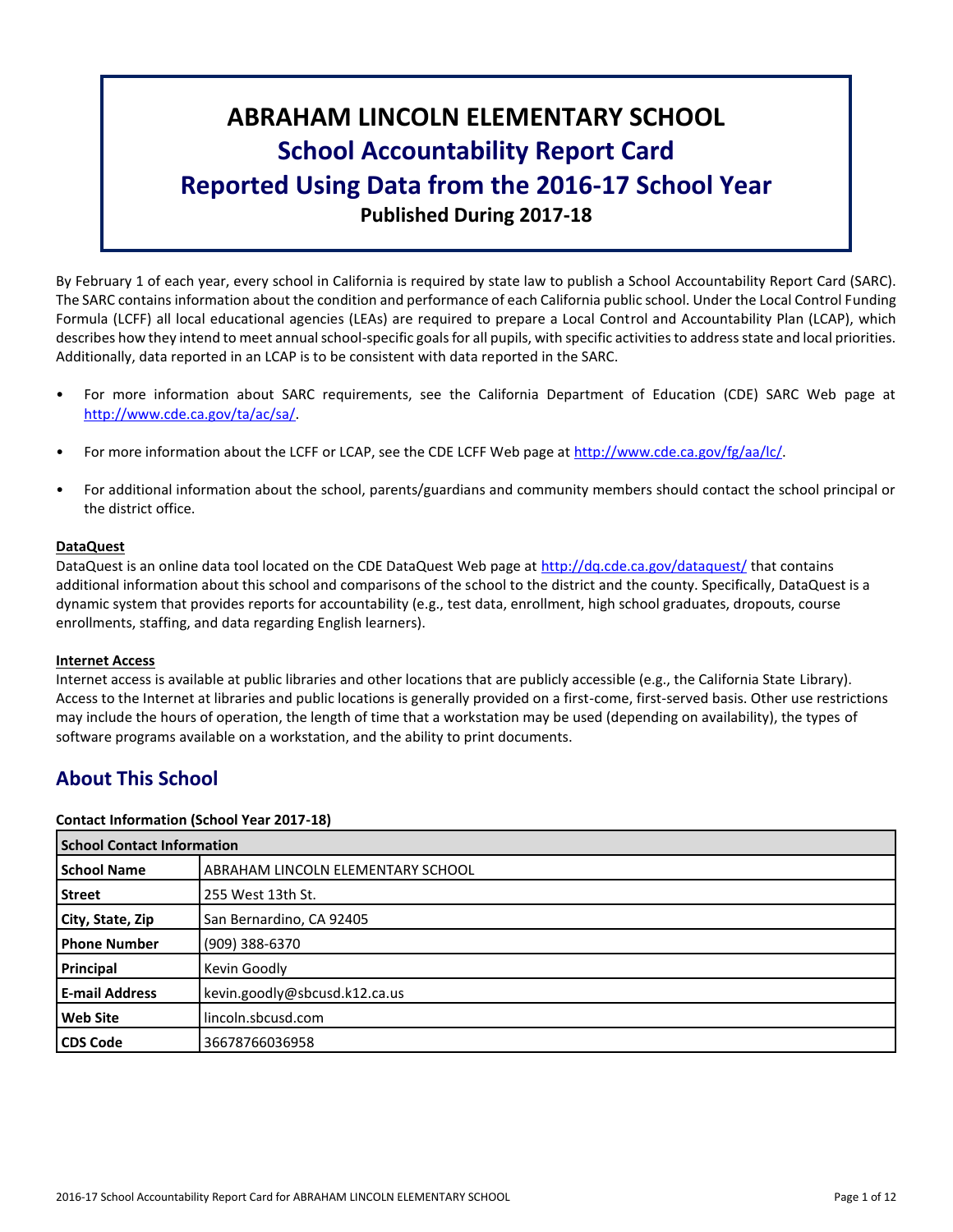# **ABRAHAM LINCOLN ELEMENTARY SCHOOL School Accountability Report Card Reported Using Data from the 2016-17 School Year Published During 2017-18**

By February 1 of each year, every school in California is required by state law to publish a School Accountability Report Card (SARC). The SARC contains information about the condition and performance of each California public school. Under the Local Control Funding Formula (LCFF) all local educational agencies (LEAs) are required to prepare a Local Control and Accountability Plan (LCAP), which describes how they intend to meet annual school-specific goals for all pupils, with specific activities to address state and local priorities. Additionally, data reported in an LCAP is to be consistent with data reported in the SARC.

- For more information about SARC requirements, see the California Department of Education (CDE) SARC Web page at [http://www.cde.ca.gov/ta/ac/sa/.](http://www.cde.ca.gov/ta/ac/sa/)
- For more information about the LCFF or LCAP, see the CDE LCFF Web page at [http://www.cde.ca.gov/fg/aa/lc/.](http://www.cde.ca.gov/fg/aa/lc/)
- For additional information about the school, parents/guardians and community members should contact the school principal or the district office.

#### **DataQuest**

DataQuest is an online data tool located on the CDE DataQuest Web page at<http://dq.cde.ca.gov/dataquest/> that contains additional information about this school and comparisons of the school to the district and the county. Specifically, DataQuest is a dynamic system that provides reports for accountability (e.g., test data, enrollment, high school graduates, dropouts, course enrollments, staffing, and data regarding English learners).

#### **Internet Access**

Internet access is available at public libraries and other locations that are publicly accessible (e.g., the California State Library). Access to the Internet at libraries and public locations is generally provided on a first-come, first-served basis. Other use restrictions may include the hours of operation, the length of time that a workstation may be used (depending on availability), the types of software programs available on a workstation, and the ability to print documents.

# **About This School**

#### **Contact Information (School Year 2017-18)**

| <b>School Contact Information</b> |                                   |  |  |  |
|-----------------------------------|-----------------------------------|--|--|--|
| <b>School Name</b>                | ABRAHAM LINCOLN ELEMENTARY SCHOOL |  |  |  |
| <b>Street</b>                     | 255 West 13th St.                 |  |  |  |
| City, State, Zip                  | San Bernardino, CA 92405          |  |  |  |
| <b>Phone Number</b>               | (909) 388-6370                    |  |  |  |
| Principal                         | Kevin Goodly                      |  |  |  |
| <b>E-mail Address</b>             | kevin.goodly@sbcusd.k12.ca.us     |  |  |  |
| <b>Web Site</b>                   | lincoln.sbcusd.com                |  |  |  |
| <b>CDS Code</b>                   | 36678766036958                    |  |  |  |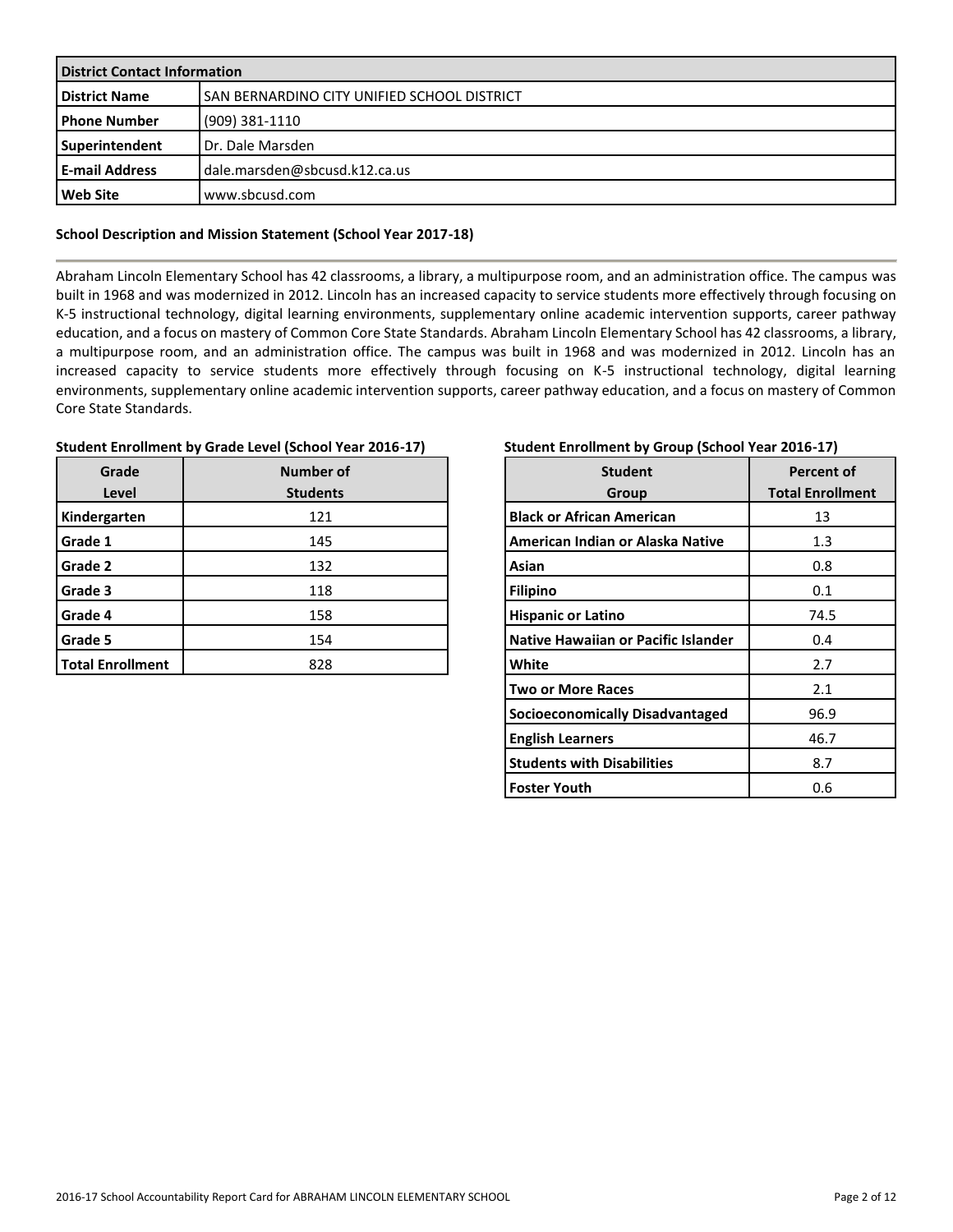| <b>District Contact Information</b> |                                             |  |  |  |
|-------------------------------------|---------------------------------------------|--|--|--|
| <b>District Name</b>                | SAN BERNARDINO CITY UNIFIED SCHOOL DISTRICT |  |  |  |
| l Phone Number                      | (909) 381-1110                              |  |  |  |
| Superintendent                      | Dr. Dale Marsden                            |  |  |  |
| l E-mail Address                    | dale.marsden@sbcusd.k12.ca.us               |  |  |  |
| <b>Web Site</b>                     | www.sbcusd.com                              |  |  |  |

#### **School Description and Mission Statement (School Year 2017-18)**

Abraham Lincoln Elementary School has 42 classrooms, a library, a multipurpose room, and an administration office. The campus was built in 1968 and was modernized in 2012. Lincoln has an increased capacity to service students more effectively through focusing on K-5 instructional technology, digital learning environments, supplementary online academic intervention supports, career pathway education, and a focus on mastery of Common Core State Standards. Abraham Lincoln Elementary School has 42 classrooms, a library, a multipurpose room, and an administration office. The campus was built in 1968 and was modernized in 2012. Lincoln has an increased capacity to service students more effectively through focusing on K-5 instructional technology, digital learning environments, supplementary online academic intervention supports, career pathway education, and a focus on mastery of Common Core State Standards.

| Student Enrollment by Grade Level (School Year 2016-17) |
|---------------------------------------------------------|
|---------------------------------------------------------|

| Grade<br>Level          | <b>Number of</b><br><b>Students</b> |
|-------------------------|-------------------------------------|
| Kindergarten            | 121                                 |
| Grade 1                 | 145                                 |
| Grade 2                 | 132                                 |
| Grade 3                 | 118                                 |
| Grade 4                 | 158                                 |
| Grade 5                 | 154                                 |
| <b>Total Enrollment</b> | 828                                 |

#### **Student Enrollment by Group (School Year 2016-17)**

| <b>Student</b><br>Group             | <b>Percent of</b><br><b>Total Enrollment</b> |
|-------------------------------------|----------------------------------------------|
| <b>Black or African American</b>    | 13                                           |
| American Indian or Alaska Native    | 1.3                                          |
| Asian                               | 0.8                                          |
| <b>Filipino</b>                     | 0.1                                          |
| <b>Hispanic or Latino</b>           | 74.5                                         |
| Native Hawaiian or Pacific Islander | 0.4                                          |
| White                               | 2.7                                          |
| <b>Two or More Races</b>            | 2.1                                          |
| Socioeconomically Disadvantaged     | 96.9                                         |
| <b>English Learners</b>             | 46.7                                         |
| <b>Students with Disabilities</b>   | 8.7                                          |
| <b>Foster Youth</b>                 | 0.6                                          |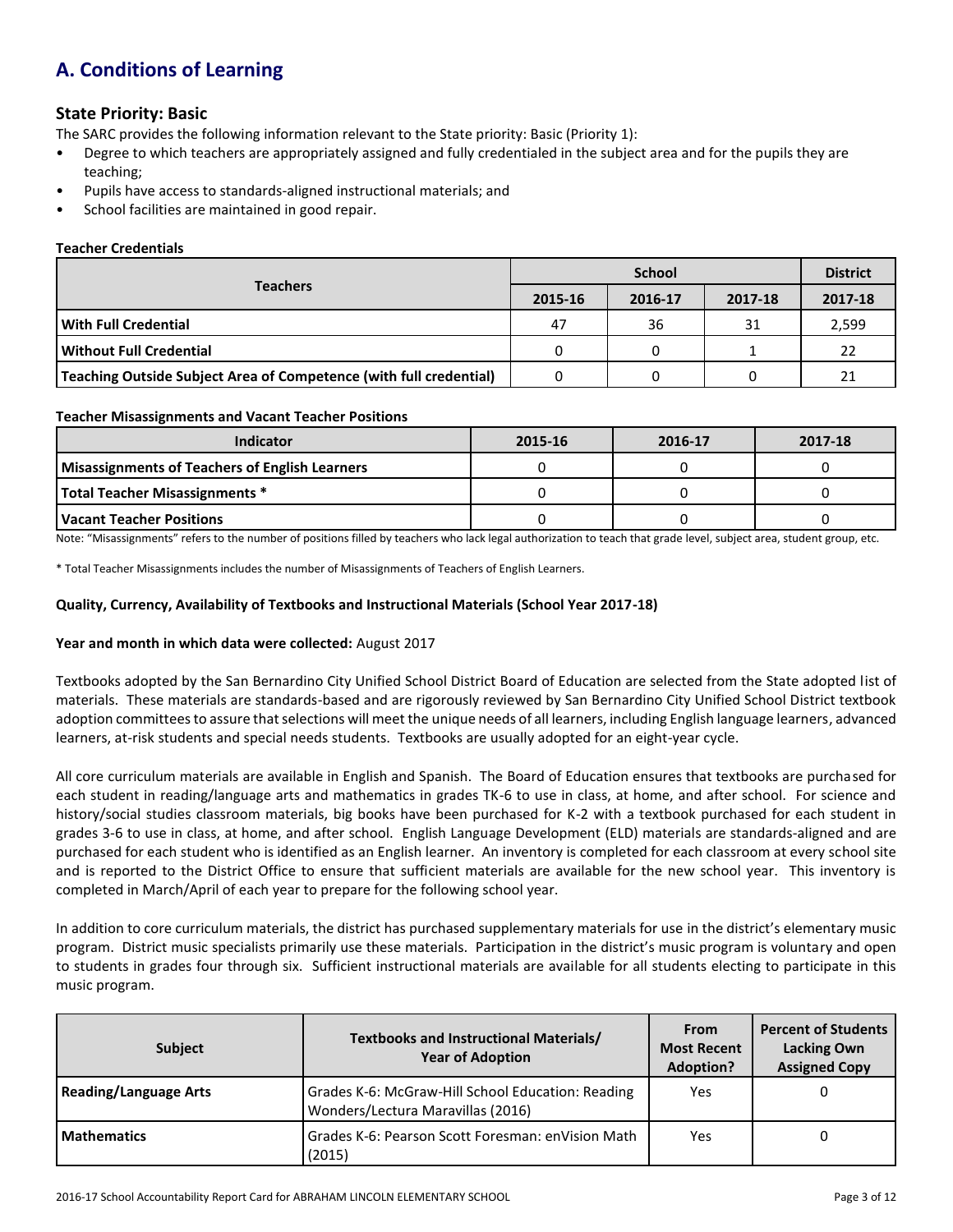# **A. Conditions of Learning**

## **State Priority: Basic**

The SARC provides the following information relevant to the State priority: Basic (Priority 1):

- Degree to which teachers are appropriately assigned and fully credentialed in the subject area and for the pupils they are teaching;
- Pupils have access to standards-aligned instructional materials; and
- School facilities are maintained in good repair.

#### **Teacher Credentials**

|                                                                    |         | <b>District</b> |         |         |
|--------------------------------------------------------------------|---------|-----------------|---------|---------|
| <b>Teachers</b>                                                    | 2015-16 | 2016-17         | 2017-18 | 2017-18 |
| <b>With Full Credential</b>                                        | 47      | 36              | 31      | 2,599   |
| <b>Without Full Credential</b>                                     | 0       |                 |         | 22      |
| Teaching Outside Subject Area of Competence (with full credential) |         |                 |         | 21      |

#### **Teacher Misassignments and Vacant Teacher Positions**

| <b>Indicator</b>                                      | 2015-16 | 2016-17 | 2017-18 |
|-------------------------------------------------------|---------|---------|---------|
| <b>Misassignments of Teachers of English Learners</b> |         |         |         |
| Total Teacher Misassignments *                        |         |         |         |
| l Vacant Teacher Positions                            |         |         |         |

Note: "Misassignments" refers to the number of positions filled by teachers who lack legal authorization to teach that grade level, subject area, student group, etc.

\* Total Teacher Misassignments includes the number of Misassignments of Teachers of English Learners.

#### **Quality, Currency, Availability of Textbooks and Instructional Materials (School Year 2017-18)**

#### **Year and month in which data were collected:** August 2017

Textbooks adopted by the San Bernardino City Unified School District Board of Education are selected from the State adopted list of materials. These materials are standards-based and are rigorously reviewed by San Bernardino City Unified School District textbook adoption committees to assure that selections will meet the unique needs of all learners, including English language learners, advanced learners, at-risk students and special needs students. Textbooks are usually adopted for an eight-year cycle.

All core curriculum materials are available in English and Spanish. The Board of Education ensures that textbooks are purchased for each student in reading/language arts and mathematics in grades TK-6 to use in class, at home, and after school. For science and history/social studies classroom materials, big books have been purchased for K-2 with a textbook purchased for each student in grades 3-6 to use in class, at home, and after school. English Language Development (ELD) materials are standards-aligned and are purchased for each student who is identified as an English learner. An inventory is completed for each classroom at every school site and is reported to the District Office to ensure that sufficient materials are available for the new school year. This inventory is completed in March/April of each year to prepare for the following school year.

In addition to core curriculum materials, the district has purchased supplementary materials for use in the district's elementary music program. District music specialists primarily use these materials. Participation in the district's music program is voluntary and open to students in grades four through six. Sufficient instructional materials are available for all students electing to participate in this music program.

| <b>Subject</b>               | Textbooks and Instructional Materials/<br><b>Year of Adoption</b>                      |     |  |
|------------------------------|----------------------------------------------------------------------------------------|-----|--|
| <b>Reading/Language Arts</b> | Grades K-6: McGraw-Hill School Education: Reading<br>Wonders/Lectura Maravillas (2016) | Yes |  |
| <b>Mathematics</b>           | Grades K-6: Pearson Scott Foresman: enVision Math<br>(2015)                            | Yes |  |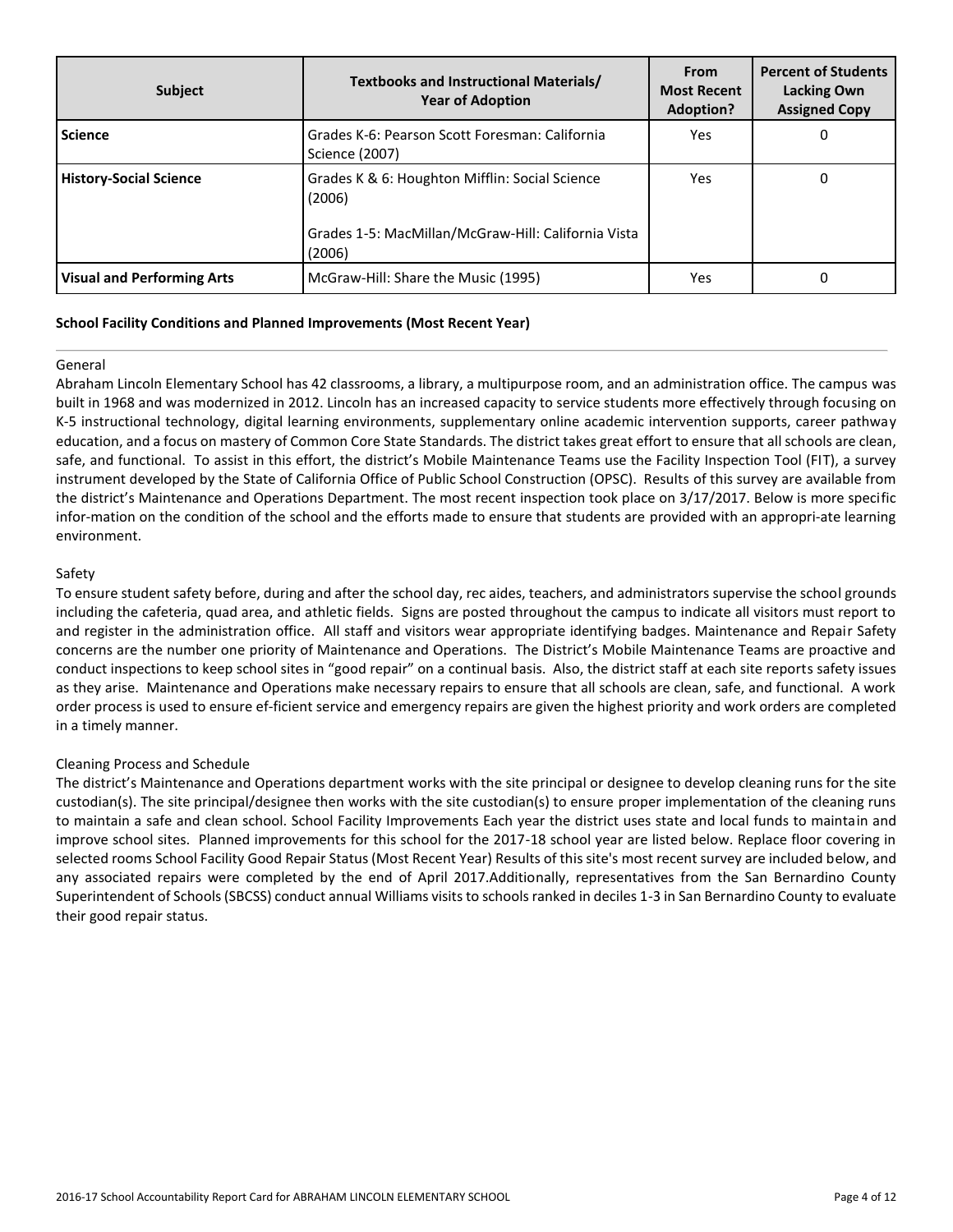| <b>Subject</b>                    | Textbooks and Instructional Materials/<br><b>Year of Adoption</b>                                                         | <b>From</b><br><b>Most Recent</b><br>Adoption? | <b>Percent of Students</b><br><b>Lacking Own</b><br><b>Assigned Copy</b> |
|-----------------------------------|---------------------------------------------------------------------------------------------------------------------------|------------------------------------------------|--------------------------------------------------------------------------|
| <b>Science</b>                    | Grades K-6: Pearson Scott Foresman: California<br>Science (2007)                                                          | Yes                                            | 0                                                                        |
| <b>History-Social Science</b>     | Grades K & 6: Houghton Mifflin: Social Science<br>(2006)<br>Grades 1-5: MacMillan/McGraw-Hill: California Vista<br>(2006) | Yes                                            | 0                                                                        |
| <b>Visual and Performing Arts</b> | McGraw-Hill: Share the Music (1995)                                                                                       | Yes                                            |                                                                          |

#### **School Facility Conditions and Planned Improvements (Most Recent Year)**

#### General

Abraham Lincoln Elementary School has 42 classrooms, a library, a multipurpose room, and an administration office. The campus was built in 1968 and was modernized in 2012. Lincoln has an increased capacity to service students more effectively through focusing on K-5 instructional technology, digital learning environments, supplementary online academic intervention supports, career pathway education, and a focus on mastery of Common Core State Standards. The district takes great effort to ensure that all schools are clean, safe, and functional. To assist in this effort, the district's Mobile Maintenance Teams use the Facility Inspection Tool (FIT), a survey instrument developed by the State of California Office of Public School Construction (OPSC). Results of this survey are available from the district's Maintenance and Operations Department. The most recent inspection took place on 3/17/2017. Below is more specific infor-mation on the condition of the school and the efforts made to ensure that students are provided with an appropri-ate learning environment.

#### Safety

To ensure student safety before, during and after the school day, rec aides, teachers, and administrators supervise the school grounds including the cafeteria, quad area, and athletic fields. Signs are posted throughout the campus to indicate all visitors must report to and register in the administration office. All staff and visitors wear appropriate identifying badges. Maintenance and Repair Safety concerns are the number one priority of Maintenance and Operations. The District's Mobile Maintenance Teams are proactive and conduct inspections to keep school sites in "good repair" on a continual basis. Also, the district staff at each site reports safety issues as they arise. Maintenance and Operations make necessary repairs to ensure that all schools are clean, safe, and functional. A work order process is used to ensure ef-ficient service and emergency repairs are given the highest priority and work orders are completed in a timely manner.

#### Cleaning Process and Schedule

The district's Maintenance and Operations department works with the site principal or designee to develop cleaning runs for the site custodian(s). The site principal/designee then works with the site custodian(s) to ensure proper implementation of the cleaning runs to maintain a safe and clean school. School Facility Improvements Each year the district uses state and local funds to maintain and improve school sites. Planned improvements for this school for the 2017-18 school year are listed below. Replace floor covering in selected rooms School Facility Good Repair Status (Most Recent Year) Results of this site's most recent survey are included below, and any associated repairs were completed by the end of April 2017.Additionally, representatives from the San Bernardino County Superintendent of Schools (SBCSS) conduct annual Williams visits to schools ranked in deciles 1-3 in San Bernardino County to evaluate their good repair status.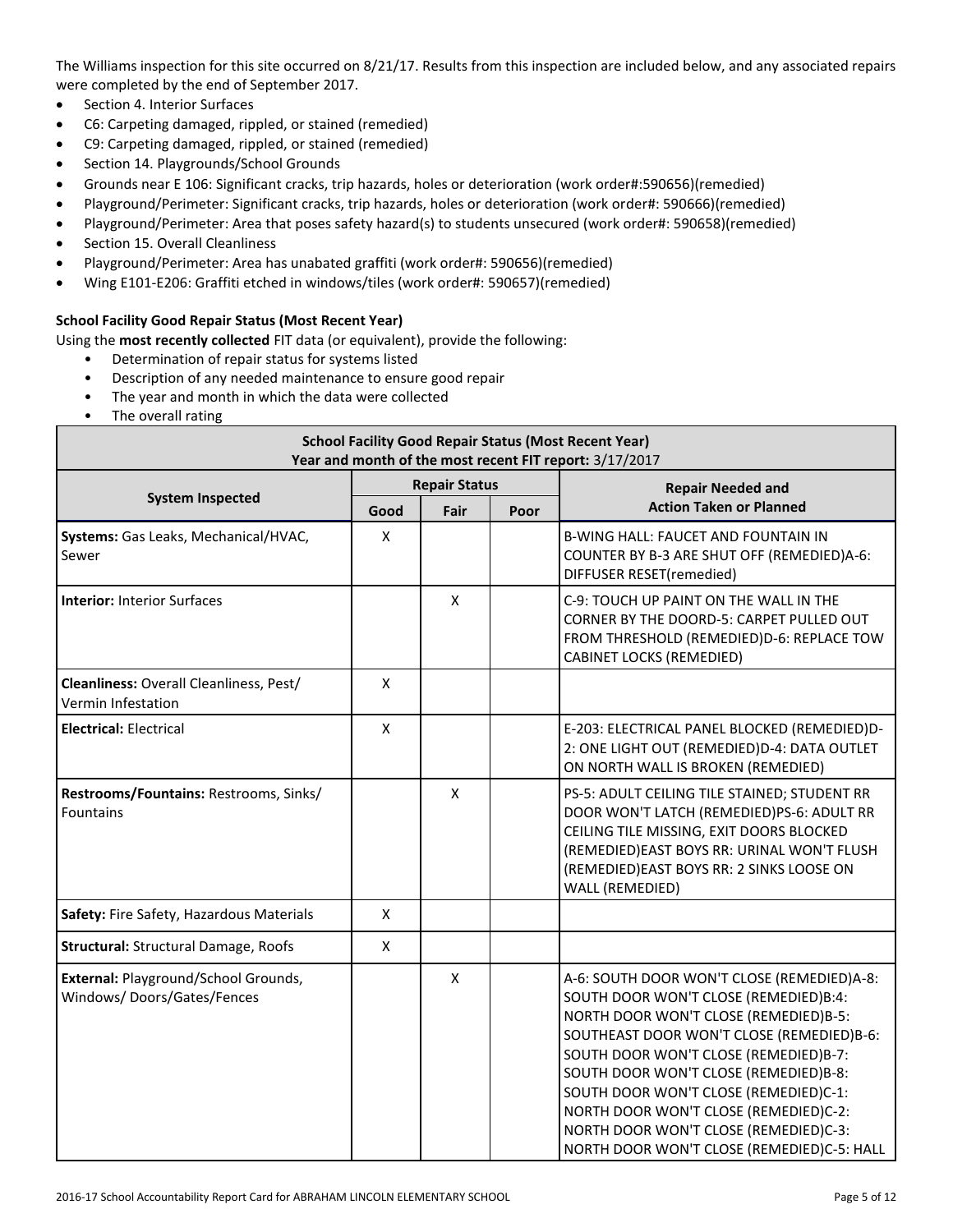The Williams inspection for this site occurred on 8/21/17. Results from this inspection are included below, and any associated repairs were completed by the end of September 2017.

- Section 4. Interior Surfaces
- C6: Carpeting damaged, rippled, or stained (remedied)
- C9: Carpeting damaged, rippled, or stained (remedied)
- Section 14. Playgrounds/School Grounds
- Grounds near E 106: Significant cracks, trip hazards, holes or deterioration (work order#:590656)(remedied)
- Playground/Perimeter: Significant cracks, trip hazards, holes or deterioration (work order#: 590666)(remedied)
- Playground/Perimeter: Area that poses safety hazard(s) to students unsecured (work order#: 590658)(remedied)
- Section 15. Overall Cleanliness
- Playground/Perimeter: Area has unabated graffiti (work order#: 590656)(remedied)
- Wing E101-E206: Graffiti etched in windows/tiles (work order#: 590657)(remedied)

#### **School Facility Good Repair Status (Most Recent Year)**

Using the **most recently collected** FIT data (or equivalent), provide the following:

- Determination of repair status for systems listed
- Description of any needed maintenance to ensure good repair
- The year and month in which the data were collected
- The overall rating

| <b>School Facility Good Repair Status (Most Recent Year)</b><br>Year and month of the most recent FIT report: 3/17/2017 |                      |              |      |                                                                                                                                                                                                                                                                                                                                                                                                                                      |  |  |
|-------------------------------------------------------------------------------------------------------------------------|----------------------|--------------|------|--------------------------------------------------------------------------------------------------------------------------------------------------------------------------------------------------------------------------------------------------------------------------------------------------------------------------------------------------------------------------------------------------------------------------------------|--|--|
|                                                                                                                         | <b>Repair Status</b> |              |      | <b>Repair Needed and</b>                                                                                                                                                                                                                                                                                                                                                                                                             |  |  |
| <b>System Inspected</b>                                                                                                 | Good                 | Fair         | Poor | <b>Action Taken or Planned</b>                                                                                                                                                                                                                                                                                                                                                                                                       |  |  |
| Systems: Gas Leaks, Mechanical/HVAC,<br>Sewer                                                                           | $\pmb{\times}$       |              |      | B-WING HALL: FAUCET AND FOUNTAIN IN<br>COUNTER BY B-3 ARE SHUT OFF (REMEDIED)A-6:<br>DIFFUSER RESET(remedied)                                                                                                                                                                                                                                                                                                                        |  |  |
| Interior: Interior Surfaces                                                                                             |                      | $\mathsf{X}$ |      | C-9: TOUCH UP PAINT ON THE WALL IN THE<br>CORNER BY THE DOORD-5: CARPET PULLED OUT<br>FROM THRESHOLD (REMEDIED)D-6: REPLACE TOW<br><b>CABINET LOCKS (REMEDIED)</b>                                                                                                                                                                                                                                                                   |  |  |
| Cleanliness: Overall Cleanliness, Pest/<br>Vermin Infestation                                                           | X                    |              |      |                                                                                                                                                                                                                                                                                                                                                                                                                                      |  |  |
| <b>Electrical: Electrical</b>                                                                                           | $\pmb{\times}$       |              |      | E-203: ELECTRICAL PANEL BLOCKED (REMEDIED)D-<br>2: ONE LIGHT OUT (REMEDIED)D-4: DATA OUTLET<br>ON NORTH WALL IS BROKEN (REMEDIED)                                                                                                                                                                                                                                                                                                    |  |  |
| Restrooms/Fountains: Restrooms, Sinks/<br>Fountains                                                                     |                      | X            |      | PS-5: ADULT CEILING TILE STAINED; STUDENT RR<br>DOOR WON'T LATCH (REMEDIED)PS-6: ADULT RR<br>CEILING TILE MISSING, EXIT DOORS BLOCKED<br>(REMEDIED)EAST BOYS RR: URINAL WON'T FLUSH<br>(REMEDIED) EAST BOYS RR: 2 SINKS LOOSE ON<br>WALL (REMEDIED)                                                                                                                                                                                  |  |  |
| Safety: Fire Safety, Hazardous Materials                                                                                | $\mathsf{x}$         |              |      |                                                                                                                                                                                                                                                                                                                                                                                                                                      |  |  |
| <b>Structural: Structural Damage, Roofs</b>                                                                             | X                    |              |      |                                                                                                                                                                                                                                                                                                                                                                                                                                      |  |  |
| External: Playground/School Grounds,<br>Windows/Doors/Gates/Fences                                                      |                      | X            |      | A-6: SOUTH DOOR WON'T CLOSE (REMEDIED)A-8:<br>SOUTH DOOR WON'T CLOSE (REMEDIED)B:4:<br>NORTH DOOR WON'T CLOSE (REMEDIED)B-5:<br>SOUTHEAST DOOR WON'T CLOSE (REMEDIED)B-6:<br>SOUTH DOOR WON'T CLOSE (REMEDIED)B-7:<br>SOUTH DOOR WON'T CLOSE (REMEDIED)B-8:<br>SOUTH DOOR WON'T CLOSE (REMEDIED)C-1:<br>NORTH DOOR WON'T CLOSE (REMEDIED)C-2:<br>NORTH DOOR WON'T CLOSE (REMEDIED)C-3:<br>NORTH DOOR WON'T CLOSE (REMEDIED)C-5: HALL |  |  |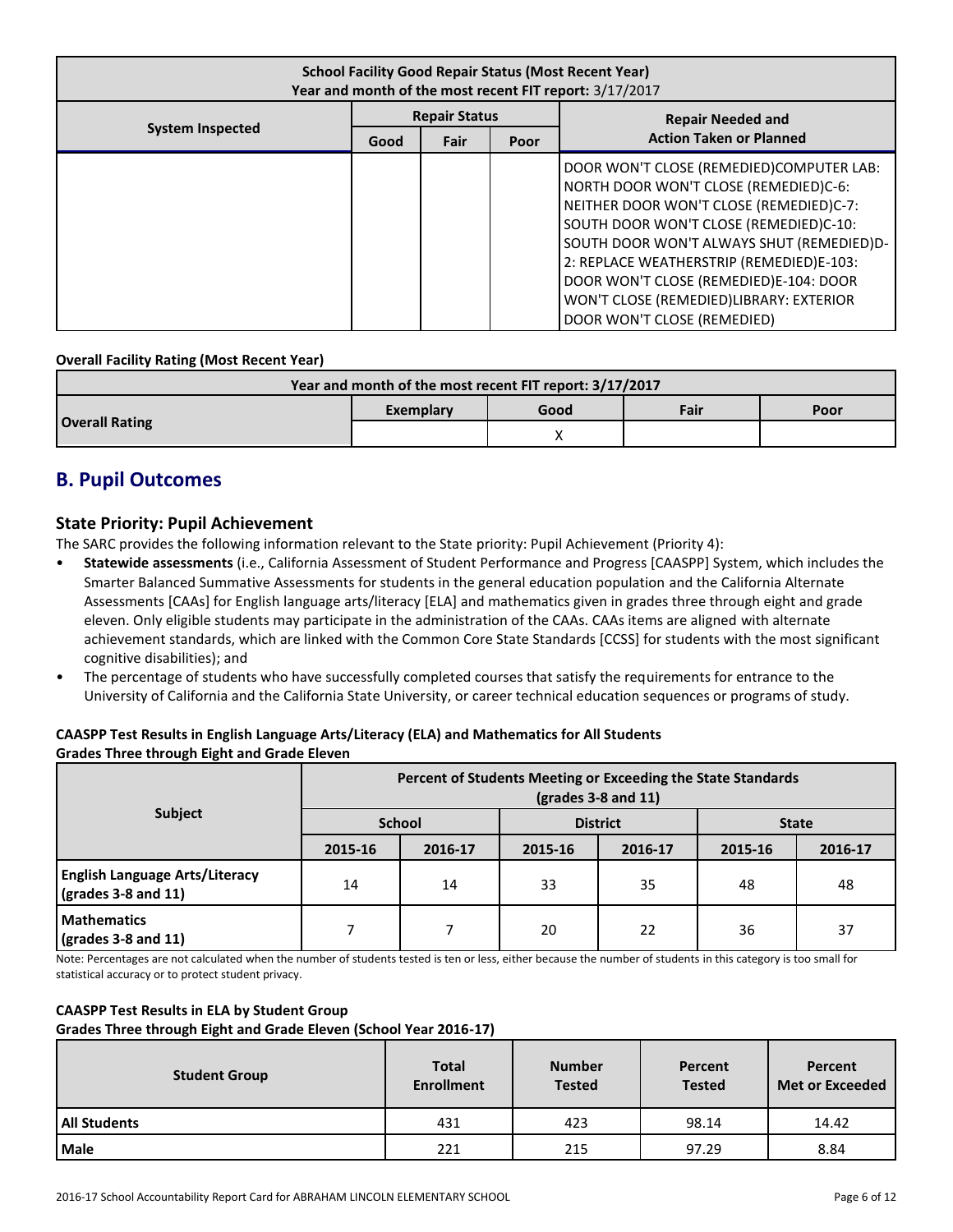| <b>School Facility Good Repair Status (Most Recent Year)</b><br>Year and month of the most recent FIT report: 3/17/2017 |                      |      |      |                                                                                                                                                                                                                                                                                                                                                                                     |  |  |
|-------------------------------------------------------------------------------------------------------------------------|----------------------|------|------|-------------------------------------------------------------------------------------------------------------------------------------------------------------------------------------------------------------------------------------------------------------------------------------------------------------------------------------------------------------------------------------|--|--|
|                                                                                                                         | <b>Repair Status</b> |      |      | <b>Repair Needed and</b>                                                                                                                                                                                                                                                                                                                                                            |  |  |
| <b>System Inspected</b>                                                                                                 | Good                 | Fair | Poor | <b>Action Taken or Planned</b>                                                                                                                                                                                                                                                                                                                                                      |  |  |
|                                                                                                                         |                      |      |      | DOOR WON'T CLOSE (REMEDIED)COMPUTER LAB:<br>NORTH DOOR WON'T CLOSE (REMEDIED)C-6:<br>NEITHER DOOR WON'T CLOSE (REMEDIED)C-7:<br>SOUTH DOOR WON'T CLOSE (REMEDIED)C-10:<br>SOUTH DOOR WON'T ALWAYS SHUT (REMEDIED)D-<br>2: REPLACE WEATHERSTRIP (REMEDIED)E-103:<br>DOOR WON'T CLOSE (REMEDIED)E-104: DOOR<br>WON'T CLOSE (REMEDIED)LIBRARY: EXTERIOR<br>DOOR WON'T CLOSE (REMEDIED) |  |  |

#### **Overall Facility Rating (Most Recent Year)**

| Year and month of the most recent FIT report: 3/17/2017 |           |      |      |      |  |  |
|---------------------------------------------------------|-----------|------|------|------|--|--|
|                                                         | Exemplary | Good | Fair | Poor |  |  |
| <b>Overall Rating</b>                                   |           |      |      |      |  |  |

# **B. Pupil Outcomes**

### **State Priority: Pupil Achievement**

The SARC provides the following information relevant to the State priority: Pupil Achievement (Priority 4):

- **Statewide assessments** (i.e., California Assessment of Student Performance and Progress [CAASPP] System, which includes the Smarter Balanced Summative Assessments for students in the general education population and the California Alternate Assessments [CAAs] for English language arts/literacy [ELA] and mathematics given in grades three through eight and grade eleven. Only eligible students may participate in the administration of the CAAs. CAAs items are aligned with alternate achievement standards, which are linked with the Common Core State Standards [CCSS] for students with the most significant cognitive disabilities); and
- The percentage of students who have successfully completed courses that satisfy the requirements for entrance to the University of California and the California State University, or career technical education sequences or programs of study.

#### **CAASPP Test Results in English Language Arts/Literacy (ELA) and Mathematics for All Students Grades Three through Eight and Grade Eleven**

|                                                              | Percent of Students Meeting or Exceeding the State Standards<br>$\left(\frac{\text{grades}}{3} - 8\right)$ and 11) |               |         |                 |              |         |  |  |  |
|--------------------------------------------------------------|--------------------------------------------------------------------------------------------------------------------|---------------|---------|-----------------|--------------|---------|--|--|--|
| <b>Subject</b>                                               |                                                                                                                    | <b>School</b> |         | <b>District</b> | <b>State</b> |         |  |  |  |
|                                                              | 2015-16                                                                                                            | 2016-17       | 2015-16 | 2016-17         | 2015-16      | 2016-17 |  |  |  |
| <b>English Language Arts/Literacy</b><br>(grades 3-8 and 11) | 14                                                                                                                 | 14            | 33      | 35              | 48           | 48      |  |  |  |
| <b>Mathematics</b><br>$\sqrt{grades}$ 3-8 and 11)            |                                                                                                                    |               | 20      | 22              | 36           | 37      |  |  |  |

Note: Percentages are not calculated when the number of students tested is ten or less, either because the number of students in this category is too small for statistical accuracy or to protect student privacy.

#### **CAASPP Test Results in ELA by Student Group**

**Grades Three through Eight and Grade Eleven (School Year 2016-17)**

| <b>Student Group</b> | <b>Total</b><br><b>Enrollment</b> | <b>Number</b><br><b>Tested</b> | Percent<br><b>Tested</b> | Percent<br><b>Met or Exceeded</b> |  |
|----------------------|-----------------------------------|--------------------------------|--------------------------|-----------------------------------|--|
| <b>All Students</b>  | 431                               | 423                            | 98.14                    | 14.42                             |  |
| <b>Male</b>          | 221                               | 215                            | 97.29                    | 8.84                              |  |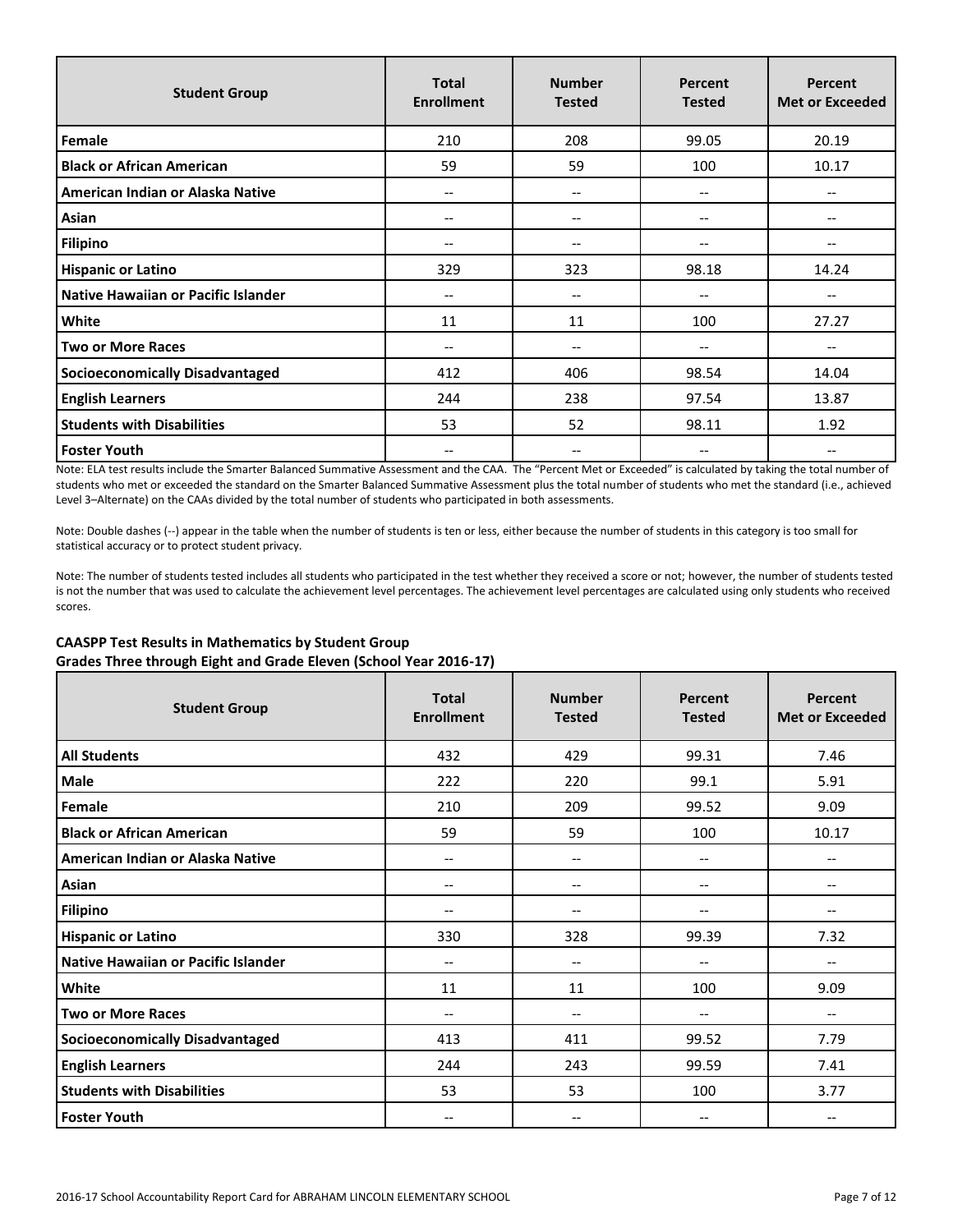| <b>Student Group</b>                   | <b>Total</b><br><b>Enrollment</b> | <b>Number</b><br><b>Tested</b> | <b>Percent</b><br><b>Tested</b> | <b>Percent</b><br><b>Met or Exceeded</b> |
|----------------------------------------|-----------------------------------|--------------------------------|---------------------------------|------------------------------------------|
| Female                                 | 210                               | 208                            | 99.05                           | 20.19                                    |
| <b>Black or African American</b>       | 59                                | 59                             | 100                             | 10.17                                    |
| American Indian or Alaska Native       | $\overline{\phantom{m}}$          | --                             | --                              |                                          |
| Asian                                  | --                                | --                             | --                              |                                          |
| <b>Filipino</b>                        | $\overline{\phantom{m}}$          | --                             | --                              |                                          |
| <b>Hispanic or Latino</b>              | 329                               | 323                            | 98.18                           | 14.24                                    |
| Native Hawaiian or Pacific Islander    | $\hspace{0.05cm} \ldots$          | $- -$                          | $-$                             | $-$                                      |
| White                                  | 11                                | 11                             | 100                             | 27.27                                    |
| <b>Two or More Races</b>               | $\overline{\phantom{m}}$          | --                             | --                              | $\hspace{0.05cm} \textbf{--}$            |
| <b>Socioeconomically Disadvantaged</b> | 412                               | 406                            | 98.54                           | 14.04                                    |
| <b>English Learners</b>                | 244                               | 238                            | 97.54                           | 13.87                                    |
| <b>Students with Disabilities</b>      | 53                                | 52                             | 98.11                           | 1.92                                     |
| <b>Foster Youth</b>                    | --                                | --                             | --                              |                                          |

Note: ELA test results include the Smarter Balanced Summative Assessment and the CAA. The "Percent Met or Exceeded" is calculated by taking the total number of students who met or exceeded the standard on the Smarter Balanced Summative Assessment plus the total number of students who met the standard (i.e., achieved Level 3–Alternate) on the CAAs divided by the total number of students who participated in both assessments.

Note: Double dashes (--) appear in the table when the number of students is ten or less, either because the number of students in this category is too small for statistical accuracy or to protect student privacy.

Note: The number of students tested includes all students who participated in the test whether they received a score or not; however, the number of students tested is not the number that was used to calculate the achievement level percentages. The achievement level percentages are calculated using only students who received scores.

#### **CAASPP Test Results in Mathematics by Student Group Grades Three through Eight and Grade Eleven (School Year 2016-17)**

| <b>Student Group</b>                   | <b>Total</b><br><b>Enrollment</b> | <b>Number</b><br><b>Tested</b> | Percent<br><b>Tested</b> | Percent<br><b>Met or Exceeded</b> |
|----------------------------------------|-----------------------------------|--------------------------------|--------------------------|-----------------------------------|
| <b>All Students</b>                    | 432                               | 429                            | 99.31                    | 7.46                              |
| Male                                   | 222                               | 220                            | 99.1                     | 5.91                              |
| Female                                 | 210                               | 209                            | 99.52                    | 9.09                              |
| <b>Black or African American</b>       | 59                                | 59                             | 100                      | 10.17                             |
| American Indian or Alaska Native       | --                                | --                             | $-$                      | $\overline{\phantom{a}}$          |
| Asian                                  | --                                | --                             | $-$                      | $\overline{\phantom{a}}$          |
| <b>Filipino</b>                        | $-$                               | --                             | $-$                      | $\overline{\phantom{a}}$          |
| <b>Hispanic or Latino</b>              | 330                               | 328                            | 99.39                    | 7.32                              |
| Native Hawaiian or Pacific Islander    | --                                | --                             | --                       | $\overline{\phantom{a}}$          |
| White                                  | 11                                | 11                             | 100                      | 9.09                              |
| <b>Two or More Races</b>               | --                                | --                             | --                       | $\overline{\phantom{a}}$          |
| <b>Socioeconomically Disadvantaged</b> | 413                               | 411                            | 99.52                    | 7.79                              |
| <b>English Learners</b>                | 244                               | 243                            | 99.59                    | 7.41                              |
| <b>Students with Disabilities</b>      | 53                                | 53                             | 100                      | 3.77                              |
| <b>Foster Youth</b>                    | --                                | --                             | --                       | $\hspace{0.05cm} \textbf{--}$     |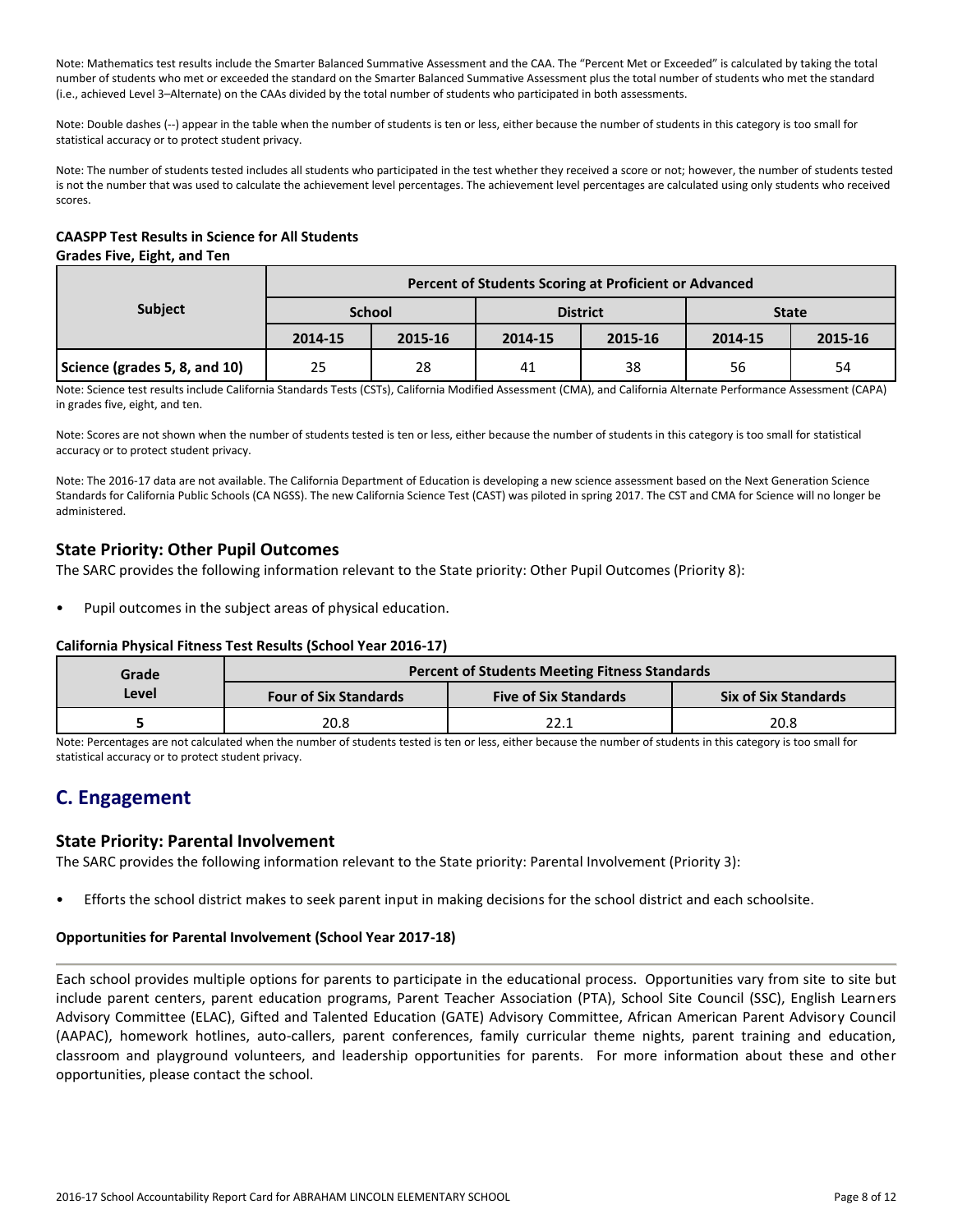Note: Mathematics test results include the Smarter Balanced Summative Assessment and the CAA. The "Percent Met or Exceeded" is calculated by taking the total number of students who met or exceeded the standard on the Smarter Balanced Summative Assessment plus the total number of students who met the standard (i.e., achieved Level 3–Alternate) on the CAAs divided by the total number of students who participated in both assessments.

Note: Double dashes (--) appear in the table when the number of students is ten or less, either because the number of students in this category is too small for statistical accuracy or to protect student privacy.

Note: The number of students tested includes all students who participated in the test whether they received a score or not; however, the number of students tested is not the number that was used to calculate the achievement level percentages. The achievement level percentages are calculated using only students who received scores.

#### **CAASPP Test Results in Science for All Students Grades Five, Eight, and Ten**

|                               | Percent of Students Scoring at Proficient or Advanced |         |         |                 |              |         |  |  |
|-------------------------------|-------------------------------------------------------|---------|---------|-----------------|--------------|---------|--|--|
| <b>Subject</b>                | <b>School</b>                                         |         |         | <b>District</b> | <b>State</b> |         |  |  |
|                               | 2014-15                                               | 2015-16 | 2014-15 | 2015-16         | 2014-15      | 2015-16 |  |  |
| Science (grades 5, 8, and 10) | 25                                                    | 28      | 41      | 38              | 56           | 54      |  |  |

Note: Science test results include California Standards Tests (CSTs), California Modified Assessment (CMA), and California Alternate Performance Assessment (CAPA) in grades five, eight, and ten.

Note: Scores are not shown when the number of students tested is ten or less, either because the number of students in this category is too small for statistical accuracy or to protect student privacy.

Note: The 2016-17 data are not available. The California Department of Education is developing a new science assessment based on the Next Generation Science Standards for California Public Schools (CA NGSS). The new California Science Test (CAST) was piloted in spring 2017. The CST and CMA for Science will no longer be administered.

## **State Priority: Other Pupil Outcomes**

The SARC provides the following information relevant to the State priority: Other Pupil Outcomes (Priority 8):

Pupil outcomes in the subject areas of physical education.

#### **California Physical Fitness Test Results (School Year 2016-17)**

| Grade |                              | <b>Percent of Students Meeting Fitness Standards</b> |                             |  |  |
|-------|------------------------------|------------------------------------------------------|-----------------------------|--|--|
| Level | <b>Four of Six Standards</b> | <b>Five of Six Standards</b>                         | <b>Six of Six Standards</b> |  |  |
|       | 20.8                         | 22.1                                                 | 20.8                        |  |  |

Note: Percentages are not calculated when the number of students tested is ten or less, either because the number of students in this category is too small for statistical accuracy or to protect student privacy.

# **C. Engagement**

### **State Priority: Parental Involvement**

The SARC provides the following information relevant to the State priority: Parental Involvement (Priority 3):

• Efforts the school district makes to seek parent input in making decisions for the school district and each schoolsite.

#### **Opportunities for Parental Involvement (School Year 2017-18)**

Each school provides multiple options for parents to participate in the educational process. Opportunities vary from site to site but include parent centers, parent education programs, Parent Teacher Association (PTA), School Site Council (SSC), English Learners Advisory Committee (ELAC), Gifted and Talented Education (GATE) Advisory Committee, African American Parent Advisory Council (AAPAC), homework hotlines, auto-callers, parent conferences, family curricular theme nights, parent training and education, classroom and playground volunteers, and leadership opportunities for parents. For more information about these and other opportunities, please contact the school.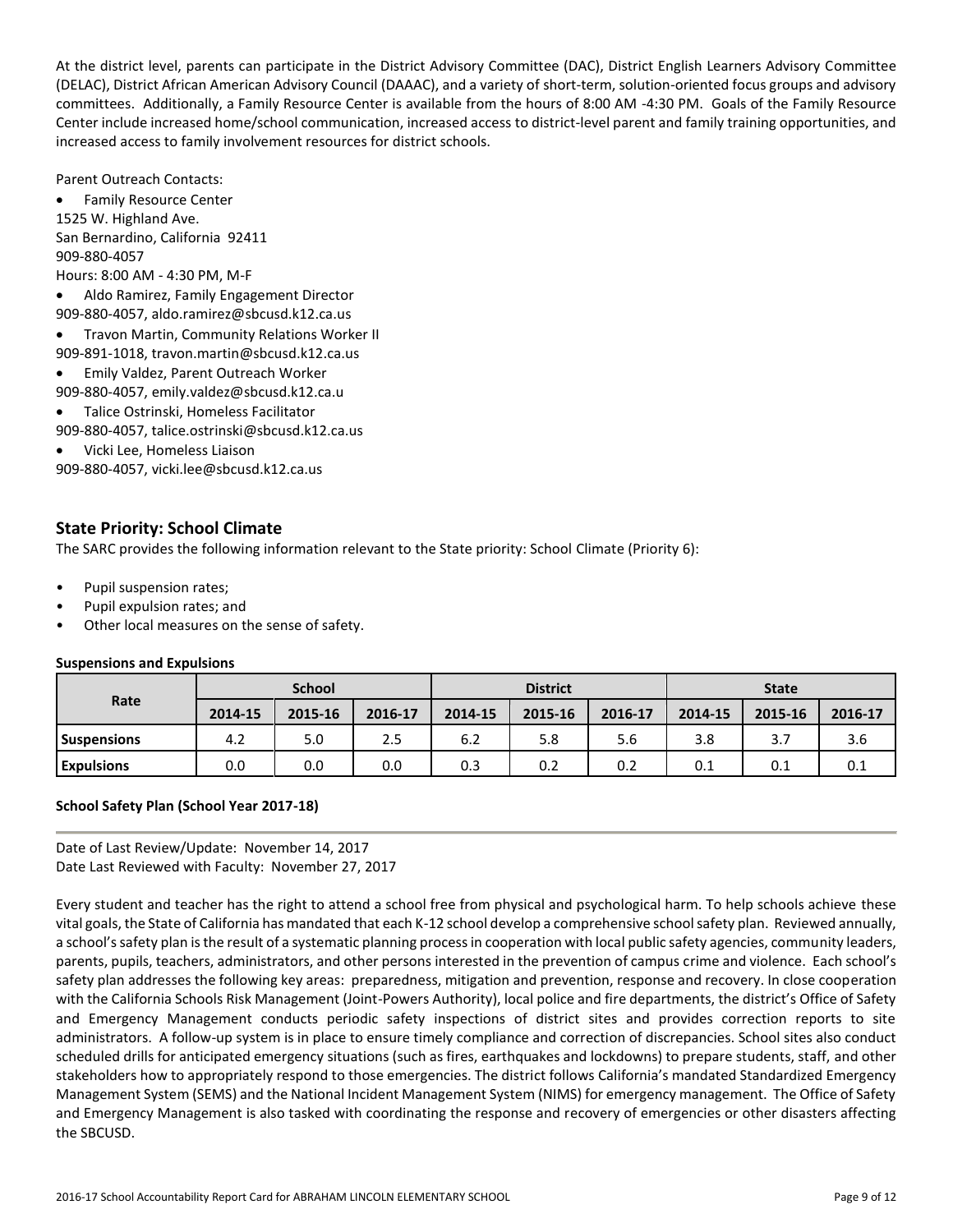At the district level, parents can participate in the District Advisory Committee (DAC), District English Learners Advisory Committee (DELAC), District African American Advisory Council (DAAAC), and a variety of short-term, solution-oriented focus groups and advisory committees. Additionally, a Family Resource Center is available from the hours of 8:00 AM -4:30 PM. Goals of the Family Resource Center include increased home/school communication, increased access to district-level parent and family training opportunities, and increased access to family involvement resources for district schools.

Parent Outreach Contacts:

 Family Resource Center 1525 W. Highland Ave. San Bernardino, California 92411 909-880-4057 Hours: 8:00 AM - 4:30 PM, M-F Aldo Ramirez, Family Engagement Director

909-880-4057, aldo.ramirez@sbcusd.k12.ca.us

- Travon Martin, Community Relations Worker II
- 909-891-1018, travon.martin@sbcusd.k12.ca.us
- Emily Valdez, Parent Outreach Worker
- 909-880-4057, emily.valdez@sbcusd.k12.ca.u
- Talice Ostrinski, Homeless Facilitator
- 909-880-4057, talice.ostrinski@sbcusd.k12.ca.us
- Vicki Lee, Homeless Liaison

909-880-4057, vicki.lee@sbcusd.k12.ca.us

### **State Priority: School Climate**

The SARC provides the following information relevant to the State priority: School Climate (Priority 6):

- Pupil suspension rates;
- Pupil expulsion rates; and
- Other local measures on the sense of safety.

#### **Suspensions and Expulsions**

|                    | <b>School</b> |         |         | <b>District</b> |         |         | <b>State</b> |         |         |
|--------------------|---------------|---------|---------|-----------------|---------|---------|--------------|---------|---------|
| Rate               | 2014-15       | 2015-16 | 2016-17 | 2014-15         | 2015-16 | 2016-17 | 2014-15      | 2015-16 | 2016-17 |
| <b>Suspensions</b> | 4.2           | 5.0     | 2.5     | 6.2             | 5.8     | 5.6     | 3.8          | 3.7     | 3.6     |
| <b>Expulsions</b>  | 0.0           | 0.0     | 0.0     | 0.3             | 0.2     | 0.2     | 0.1          | 0.1     | 0.1     |

#### **School Safety Plan (School Year 2017-18)**

Date of Last Review/Update: November 14, 2017 Date Last Reviewed with Faculty: November 27, 2017

Every student and teacher has the right to attend a school free from physical and psychological harm. To help schools achieve these vital goals, the State of California has mandated that each K-12 school develop a comprehensive school safety plan. Reviewed annually, a school's safety plan is the result of a systematic planning process in cooperation with local public safety agencies, community leaders, parents, pupils, teachers, administrators, and other persons interested in the prevention of campus crime and violence. Each school's safety plan addresses the following key areas: preparedness, mitigation and prevention, response and recovery. In close cooperation with the California Schools Risk Management (Joint-Powers Authority), local police and fire departments, the district's Office of Safety and Emergency Management conducts periodic safety inspections of district sites and provides correction reports to site administrators. A follow-up system is in place to ensure timely compliance and correction of discrepancies. School sites also conduct scheduled drills for anticipated emergency situations (such as fires, earthquakes and lockdowns) to prepare students, staff, and other stakeholders how to appropriately respond to those emergencies. The district follows California's mandated Standardized Emergency Management System (SEMS) and the National Incident Management System (NIMS) for emergency management. The Office of Safety and Emergency Management is also tasked with coordinating the response and recovery of emergencies or other disasters affecting the SBCUSD.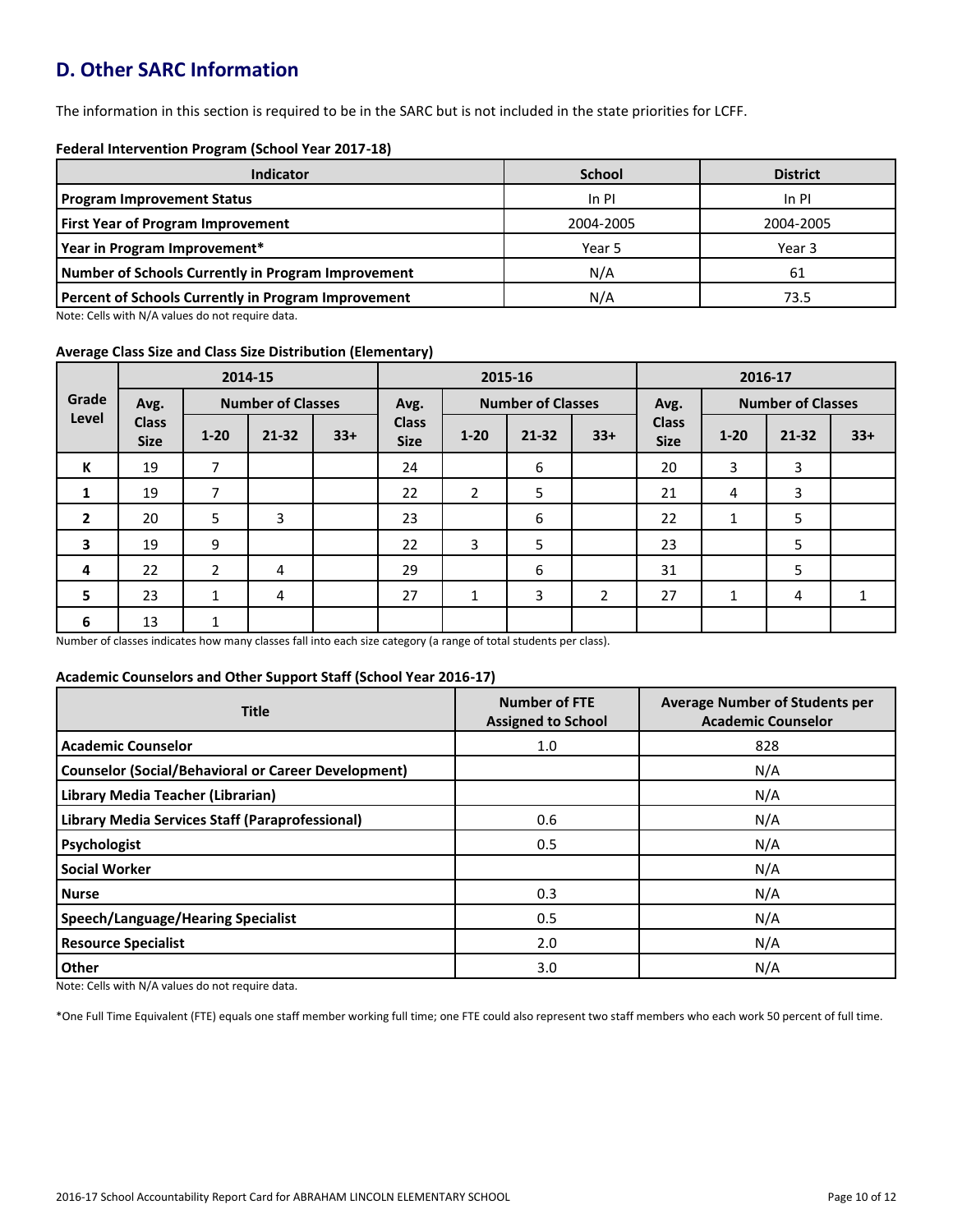# **D. Other SARC Information**

The information in this section is required to be in the SARC but is not included in the state priorities for LCFF.

#### **Federal Intervention Program (School Year 2017-18)**

| Indicator                                                  | <b>School</b> | <b>District</b> |
|------------------------------------------------------------|---------------|-----------------|
| <b>Program Improvement Status</b>                          | In PI         | In PI           |
| <b>First Year of Program Improvement</b>                   | 2004-2005     | 2004-2005       |
| Year in Program Improvement*                               | Year 5        | Year 3          |
| Number of Schools Currently in Program Improvement         | N/A           | 61              |
| <b>Percent of Schools Currently in Program Improvement</b> | N/A           | 73.5            |

Note: Cells with N/A values do not require data.

#### **Average Class Size and Class Size Distribution (Elementary)**

|                |                             |                | 2014-15                  |       |                             | 2015-16        |                          |                |                             | 2016-17  |                          |       |
|----------------|-----------------------------|----------------|--------------------------|-------|-----------------------------|----------------|--------------------------|----------------|-----------------------------|----------|--------------------------|-------|
| Grade          | Avg.                        |                | <b>Number of Classes</b> |       | Avg.                        |                | <b>Number of Classes</b> |                | Avg.                        |          | <b>Number of Classes</b> |       |
| Level          | <b>Class</b><br><b>Size</b> | $1 - 20$       | $21 - 32$                | $33+$ | <b>Class</b><br><b>Size</b> | $1 - 20$       | $21 - 32$                | $33+$          | <b>Class</b><br><b>Size</b> | $1 - 20$ | $21 - 32$                | $33+$ |
| K              | 19                          | 7              |                          |       | 24                          |                | 6                        |                | 20                          | 3        | 3                        |       |
| 1              | 19                          | 7              |                          |       | 22                          | $\overline{2}$ | 5                        |                | 21                          | 4        | 3                        |       |
| $\overline{2}$ | 20                          | 5              | 3                        |       | 23                          |                | 6                        |                | 22                          | 1        | 5                        |       |
| 3              | 19                          | 9              |                          |       | 22                          | 3              | 5                        |                | 23                          |          | 5                        |       |
| 4              | 22                          | $\overline{2}$ | 4                        |       | 29                          |                | 6                        |                | 31                          |          | 5                        |       |
| 5              | 23                          | 1              | 4                        |       | 27                          | Ŧ.             | 3                        | $\overline{2}$ | 27                          | 1        | 4                        |       |
| 6              | 13                          | 1              |                          |       |                             |                |                          |                |                             |          |                          |       |

Number of classes indicates how many classes fall into each size category (a range of total students per class).

#### **Academic Counselors and Other Support Staff (School Year 2016-17)**

| <b>Title</b>                                               | <b>Number of FTE</b><br><b>Assigned to School</b> | <b>Average Number of Students per</b><br><b>Academic Counselor</b> |
|------------------------------------------------------------|---------------------------------------------------|--------------------------------------------------------------------|
| <b>Academic Counselor</b>                                  | 1.0                                               | 828                                                                |
| <b>Counselor (Social/Behavioral or Career Development)</b> |                                                   | N/A                                                                |
| Library Media Teacher (Librarian)                          |                                                   | N/A                                                                |
| <b>Library Media Services Staff (Paraprofessional)</b>     | 0.6                                               | N/A                                                                |
| Psychologist                                               | 0.5                                               | N/A                                                                |
| <b>Social Worker</b>                                       |                                                   | N/A                                                                |
| <b>Nurse</b>                                               | 0.3                                               | N/A                                                                |
| <b>Speech/Language/Hearing Specialist</b>                  | 0.5                                               | N/A                                                                |
| <b>Resource Specialist</b>                                 | 2.0                                               | N/A                                                                |
| Other                                                      | 3.0 <sub>2</sub>                                  | N/A                                                                |

Note: Cells with N/A values do not require data.

\*One Full Time Equivalent (FTE) equals one staff member working full time; one FTE could also represent two staff members who each work 50 percent of full time.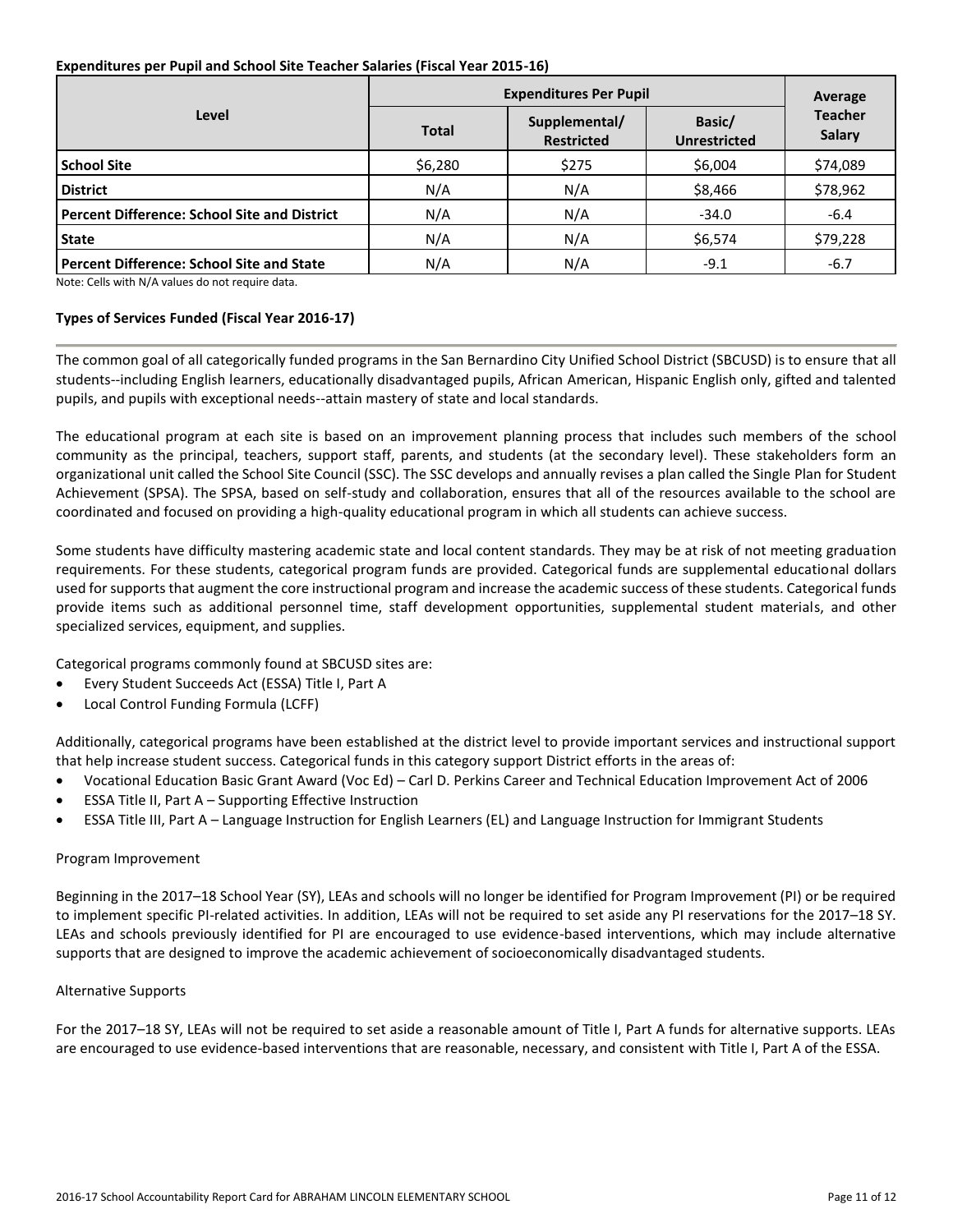#### **Expenditures per Pupil and School Site Teacher Salaries (Fiscal Year 2015-16)**

|                                                     | <b>Expenditures Per Pupil</b> | Average                            |                               |                                 |  |
|-----------------------------------------------------|-------------------------------|------------------------------------|-------------------------------|---------------------------------|--|
| Level                                               | <b>Total</b>                  | Supplemental/<br><b>Restricted</b> | Basic/<br><b>Unrestricted</b> | <b>Teacher</b><br><b>Salary</b> |  |
| <b>School Site</b>                                  | \$6,280                       | \$275                              | \$6,004                       | \$74,089                        |  |
| <b>District</b>                                     | N/A                           | N/A                                | \$8,466                       | \$78,962                        |  |
| <b>Percent Difference: School Site and District</b> | N/A                           | N/A                                | $-34.0$                       | $-6.4$                          |  |
| <b>State</b>                                        | N/A                           | N/A                                | \$6,574                       | \$79,228                        |  |
| <b>Percent Difference: School Site and State</b>    | N/A                           | N/A                                | $-9.1$                        | $-6.7$                          |  |

Note: Cells with N/A values do not require data.

#### **Types of Services Funded (Fiscal Year 2016-17)**

The common goal of all categorically funded programs in the San Bernardino City Unified School District (SBCUSD) is to ensure that all students--including English learners, educationally disadvantaged pupils, African American, Hispanic English only, gifted and talented pupils, and pupils with exceptional needs--attain mastery of state and local standards.

The educational program at each site is based on an improvement planning process that includes such members of the school community as the principal, teachers, support staff, parents, and students (at the secondary level). These stakeholders form an organizational unit called the School Site Council (SSC). The SSC develops and annually revises a plan called the Single Plan for Student Achievement (SPSA). The SPSA, based on self-study and collaboration, ensures that all of the resources available to the school are coordinated and focused on providing a high-quality educational program in which all students can achieve success.

Some students have difficulty mastering academic state and local content standards. They may be at risk of not meeting graduation requirements. For these students, categorical program funds are provided. Categorical funds are supplemental educational dollars used for supports that augment the core instructional program and increase the academic success of these students. Categorical funds provide items such as additional personnel time, staff development opportunities, supplemental student materials, and other specialized services, equipment, and supplies.

Categorical programs commonly found at SBCUSD sites are:

- Every Student Succeeds Act (ESSA) Title I, Part A
- Local Control Funding Formula (LCFF)

Additionally, categorical programs have been established at the district level to provide important services and instructional support that help increase student success. Categorical funds in this category support District efforts in the areas of:

- Vocational Education Basic Grant Award (Voc Ed) Carl D. Perkins Career and Technical Education Improvement Act of 2006
- ESSA Title II, Part A Supporting Effective Instruction
- ESSA Title III, Part A Language Instruction for English Learners (EL) and Language Instruction for Immigrant Students

#### Program Improvement

Beginning in the 2017–18 School Year (SY), LEAs and schools will no longer be identified for Program Improvement (PI) or be required to implement specific PI-related activities. In addition, LEAs will not be required to set aside any PI reservations for the 2017–18 SY. LEAs and schools previously identified for PI are encouraged to use evidence-based interventions, which may include alternative supports that are designed to improve the academic achievement of socioeconomically disadvantaged students.

#### Alternative Supports

For the 2017–18 SY, LEAs will not be required to set aside a reasonable amount of Title I, Part A funds for alternative supports. LEAs are encouraged to use evidence-based interventions that are reasonable, necessary, and consistent with Title I, Part A of the ESSA.